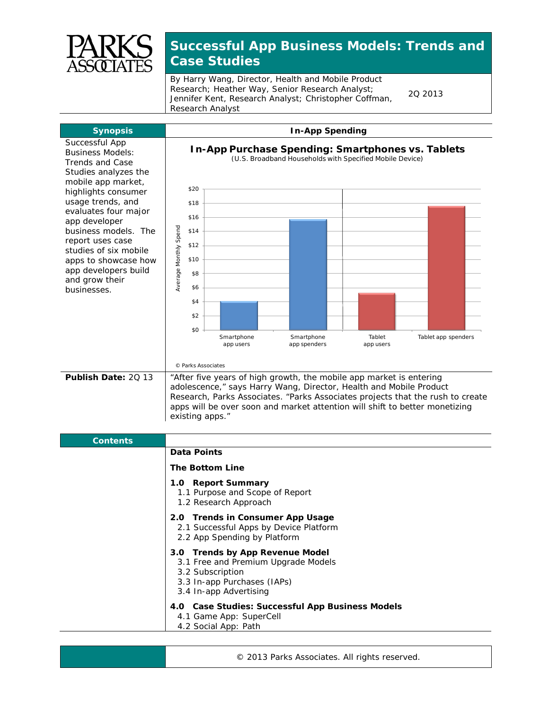

## **Successful App Business Models: Trends and Case Studies**

By Harry Wang, Director, Health and Mobile Product Research; Heather Way, Senior Research Analyst; Jennifer Kent, Research Analyst; Christopher Coffman, Research Analyst

2Q 2013



| <b>Contents</b> |                                                                                                                                                     |
|-----------------|-----------------------------------------------------------------------------------------------------------------------------------------------------|
|                 | <b>Data Points</b>                                                                                                                                  |
|                 | <b>The Bottom Line</b>                                                                                                                              |
|                 | 1.0 Report Summary<br>1.1 Purpose and Scope of Report<br>1.2 Research Approach                                                                      |
|                 | 2.0 Trends in Consumer App Usage<br>2.1 Successful Apps by Device Platform<br>2.2 App Spending by Platform                                          |
|                 | 3.0 Trends by App Revenue Model<br>3.1 Free and Premium Upgrade Models<br>3.2 Subscription<br>3.3 In-app Purchases (IAPs)<br>3.4 In-app Advertising |
|                 | 4.0 Case Studies: Successful App Business Models<br>4.1 Game App: SuperCell<br>4.2 Social App: Path                                                 |

© 2013 Parks Associates. All rights reserved.